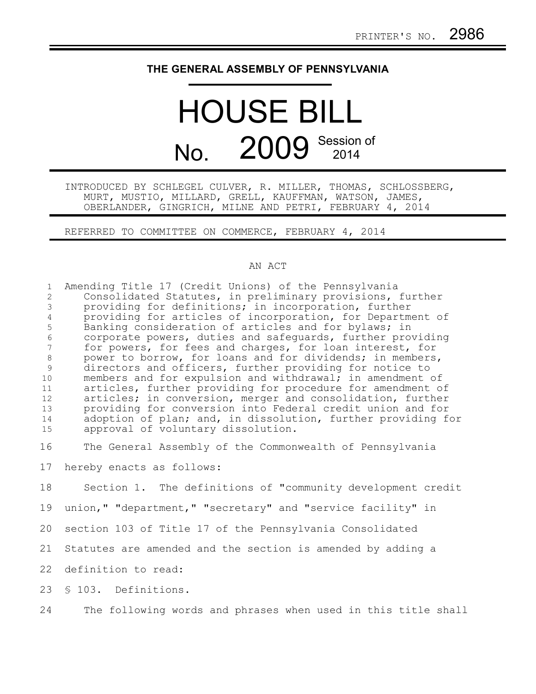## **THE GENERAL ASSEMBLY OF PENNSYLVANIA**

## HOUSE BILL No. 2009 Session of

INTRODUCED BY SCHLEGEL CULVER, R. MILLER, THOMAS, SCHLOSSBERG, MURT, MUSTIO, MILLARD, GRELL, KAUFFMAN, WATSON, JAMES, OBERLANDER, GINGRICH, MILNE AND PETRI, FEBRUARY 4, 2014

REFERRED TO COMMITTEE ON COMMERCE, FEBRUARY 4, 2014

## AN ACT

| $\mathbf{1}$<br>2<br>$\mathfrak{Z}$ | Amending Title 17 (Credit Unions) of the Pennsylvania<br>Consolidated Statutes, in preliminary provisions, further |
|-------------------------------------|--------------------------------------------------------------------------------------------------------------------|
|                                     | providing for definitions; in incorporation, further                                                               |
| $\overline{4}$                      | providing for articles of incorporation, for Department of                                                         |
| 5<br>$\sqrt{6}$                     | Banking consideration of articles and for bylaws; in<br>corporate powers, duties and safequards, further providing |
| $\overline{7}$                      | for powers, for fees and charges, for loan interest, for                                                           |
| $\,8\,$                             | power to borrow, for loans and for dividends; in members,                                                          |
| $\mathfrak{g}$                      | directors and officers, further providing for notice to                                                            |
| 10                                  | members and for expulsion and withdrawal; in amendment of                                                          |
| 11                                  | articles, further providing for procedure for amendment of                                                         |
| 12                                  | articles; in conversion, merger and consolidation, further                                                         |
| 13                                  | providing for conversion into Federal credit union and for                                                         |
| 14                                  | adoption of plan; and, in dissolution, further providing for                                                       |
| 15                                  | approval of voluntary dissolution.                                                                                 |
| 16                                  | The General Assembly of the Commonwealth of Pennsylvania                                                           |
| 17                                  | hereby enacts as follows:                                                                                          |
| 18                                  | Section 1. The definitions of "community development credit                                                        |
| 19                                  | union," "department," "secretary" and "service facility" in                                                        |
| 20                                  | section 103 of Title 17 of the Pennsylvania Consolidated                                                           |
| 21                                  | Statutes are amended and the section is amended by adding a                                                        |
| 22                                  | definition to read:                                                                                                |
| 23                                  | \$103. Definitions.                                                                                                |
| 24                                  | The following words and phrases when used in this title shall                                                      |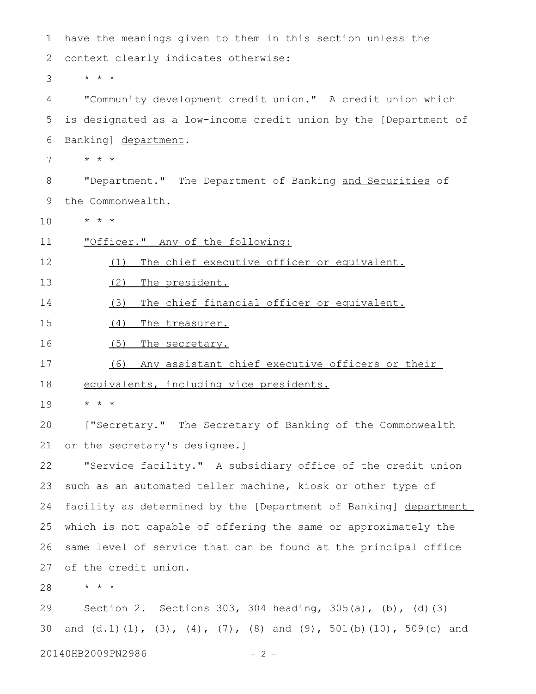| 1  | have the meanings given to them in this section unless the                               |
|----|------------------------------------------------------------------------------------------|
| 2  | context clearly indicates otherwise:                                                     |
| 3  | $\star$ $\star$ $\star$                                                                  |
| 4  | "Community development credit union." A credit union which                               |
| 5  | is designated as a low-income credit union by the [Department of                         |
| 6  | Banking] department.                                                                     |
| 7  | $\star$ $\star$ $\star$                                                                  |
| 8  | "Department." The Department of Banking and Securities of                                |
| 9  | the Commonwealth.                                                                        |
| 10 | $\star$ $\star$ $\star$                                                                  |
| 11 | "Officer." Any of the following:                                                         |
| 12 | The chief executive officer or equivalent.<br>(1)                                        |
| 13 | (2)<br>The president.                                                                    |
| 14 | The chief financial officer or equivalent.<br>(3)                                        |
| 15 | (4)<br>The treasurer.                                                                    |
| 16 | (5)<br>The secretary.                                                                    |
| 17 | Any assistant chief executive officers or their<br>(6)                                   |
| 18 | equivalents, including vice presidents.                                                  |
| 19 | $\star$ $\star$ $\star$                                                                  |
| 20 | ["Secretary." The Secretary of Banking of the Commonwealth                               |
| 21 | or the secretary's designee.]                                                            |
| 22 | "Service facility." A subsidiary office of the credit union                              |
| 23 | such as an automated teller machine, kiosk or other type of                              |
| 24 | facility as determined by the [Department of Banking] department                         |
| 25 | which is not capable of offering the same or approximately the                           |
| 26 | same level of service that can be found at the principal office                          |
| 27 | of the credit union.                                                                     |
| 28 | $\star$ $\star$ $\star$                                                                  |
| 29 | Section 2. Sections 303, 304 heading, 305(a), (b), (d) (3)                               |
| 30 | and $(d.1) (1)$ , $(3)$ , $(4)$ , $(7)$ , $(8)$ and $(9)$ , $501(b) (10)$ , $509(c)$ and |

20140HB2009PN2986 - 2 -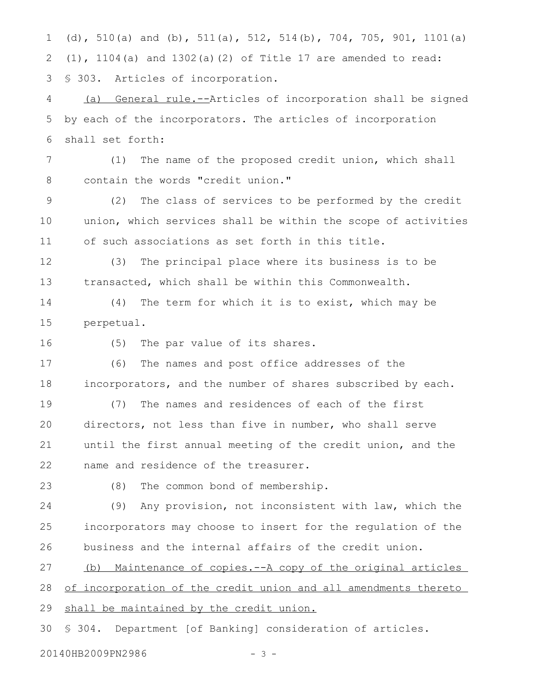(d), 510(a) and (b), 511(a), 512, 514(b), 704, 705, 901, 1101(a) (1), 1104(a) and 1302(a)(2) of Title 17 are amended to read: § 303. Articles of incorporation. 1 2 3

(a) General rule.--Articles of incorporation shall be signed by each of the incorporators. The articles of incorporation shall set forth: 4 5 6

(1) The name of the proposed credit union, which shall contain the words "credit union." 7 8

(2) The class of services to be performed by the credit union, which services shall be within the scope of activities of such associations as set forth in this title. 9 10 11

(3) The principal place where its business is to be transacted, which shall be within this Commonwealth. 12 13

(4) The term for which it is to exist, which may be perpetual. 14 15

16

(5) The par value of its shares.

(6) The names and post office addresses of the incorporators, and the number of shares subscribed by each. 17 18

(7) The names and residences of each of the first directors, not less than five in number, who shall serve until the first annual meeting of the credit union, and the name and residence of the treasurer. 19 20 21 22

23

(8) The common bond of membership.

(9) Any provision, not inconsistent with law, which the incorporators may choose to insert for the regulation of the business and the internal affairs of the credit union. 24 25 26

(b) Maintenance of copies.--A copy of the original articles of incorporation of the credit union and all amendments thereto shall be maintained by the credit union. 27 28 29

§ 304. Department [of Banking] consideration of articles. 30

20140HB2009PN2986 - 3 -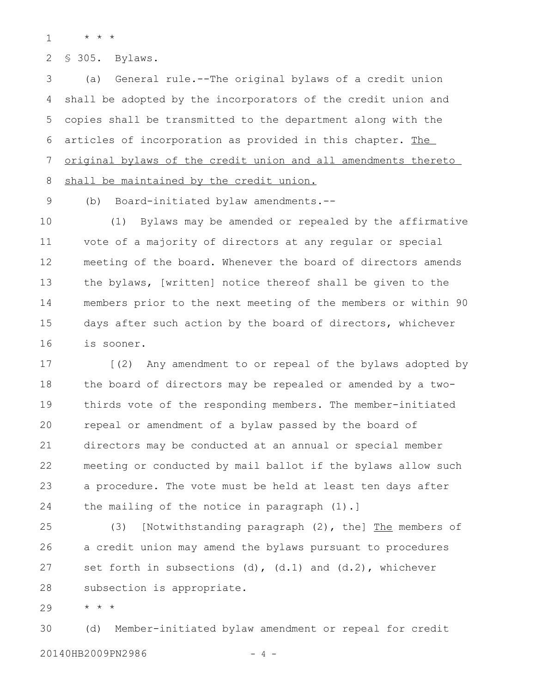\* \* \* 1

§ 305. Bylaws. 2

(a) General rule.--The original bylaws of a credit union shall be adopted by the incorporators of the credit union and copies shall be transmitted to the department along with the articles of incorporation as provided in this chapter. The original bylaws of the credit union and all amendments thereto shall be maintained by the credit union. 3 4 5 6 7 8

9

(b) Board-initiated bylaw amendments.--

(1) Bylaws may be amended or repealed by the affirmative vote of a majority of directors at any regular or special meeting of the board. Whenever the board of directors amends the bylaws, [written] notice thereof shall be given to the members prior to the next meeting of the members or within 90 days after such action by the board of directors, whichever is sooner. 10 11 12 13 14 15 16

[(2) Any amendment to or repeal of the bylaws adopted by the board of directors may be repealed or amended by a twothirds vote of the responding members. The member-initiated repeal or amendment of a bylaw passed by the board of directors may be conducted at an annual or special member meeting or conducted by mail ballot if the bylaws allow such a procedure. The vote must be held at least ten days after the mailing of the notice in paragraph (1).] 17 18 19 20 21 22 23 24

(3) [Notwithstanding paragraph  $(2)$ , the] The members of a credit union may amend the bylaws pursuant to procedures set forth in subsections (d), (d.1) and (d.2), whichever subsection is appropriate. 25 26 27 28

\* \* \* 29

(d) Member-initiated bylaw amendment or repeal for credit 20140HB2009PN2986 - 4 - 30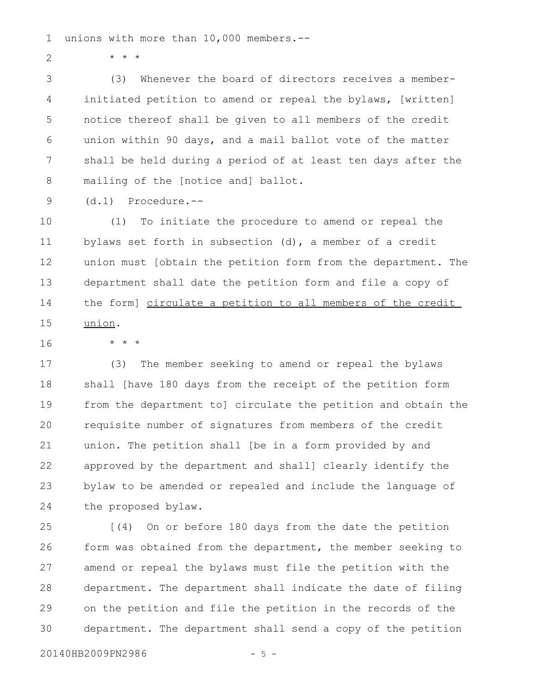unions with more than 10,000 members.-- 1

\* \* \* 2

(3) Whenever the board of directors receives a memberinitiated petition to amend or repeal the bylaws, [written] notice thereof shall be given to all members of the credit union within 90 days, and a mail ballot vote of the matter shall be held during a period of at least ten days after the mailing of the [notice and] ballot. 3 4 5 6 7 8

(d.1) Procedure.-- 9

\* \* \*

(1) To initiate the procedure to amend or repeal the bylaws set forth in subsection (d), a member of a credit union must [obtain the petition form from the department. The department shall date the petition form and file a copy of the form] circulate a petition to all members of the credit union. 10 11 12 13 14 15

16

(3) The member seeking to amend or repeal the bylaws shall [have 180 days from the receipt of the petition form from the department to] circulate the petition and obtain the requisite number of signatures from members of the credit union. The petition shall [be in a form provided by and approved by the department and shall] clearly identify the bylaw to be amended or repealed and include the language of the proposed bylaw. 17 18 19 20 21 22 23 24

[(4) On or before 180 days from the date the petition form was obtained from the department, the member seeking to amend or repeal the bylaws must file the petition with the department. The department shall indicate the date of filing on the petition and file the petition in the records of the department. The department shall send a copy of the petition 25 26 27 28 29 30

20140HB2009PN2986 - 5 -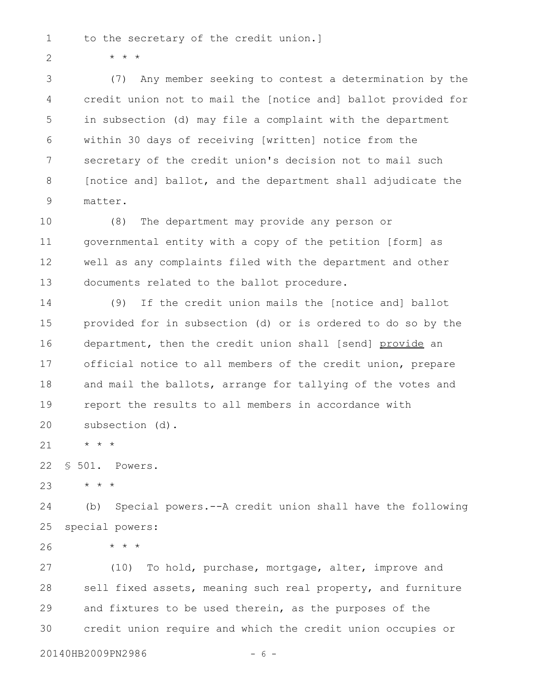to the secretary of the credit union.] 1

\* \* \*

2

(7) Any member seeking to contest a determination by the credit union not to mail the [notice and] ballot provided for in subsection (d) may file a complaint with the department within 30 days of receiving [written] notice from the secretary of the credit union's decision not to mail such [notice and] ballot, and the department shall adjudicate the matter. 3 4 5 6 7 8 9

(8) The department may provide any person or governmental entity with a copy of the petition [form] as well as any complaints filed with the department and other documents related to the ballot procedure. 10 11 12 13

(9) If the credit union mails the [notice and] ballot provided for in subsection (d) or is ordered to do so by the department, then the credit union shall [send] provide an official notice to all members of the credit union, prepare and mail the ballots, arrange for tallying of the votes and report the results to all members in accordance with subsection (d). 14 15 16 17 18 19 20

\* \* \* 21

§ 501. Powers. 22

\* \* \*

\* \* \* 23

(b) Special powers.--A credit union shall have the following special powers: 24 25

26

(10) To hold, purchase, mortgage, alter, improve and sell fixed assets, meaning such real property, and furniture and fixtures to be used therein, as the purposes of the credit union require and which the credit union occupies or 27 28 29 30

20140HB2009PN2986 - 6 -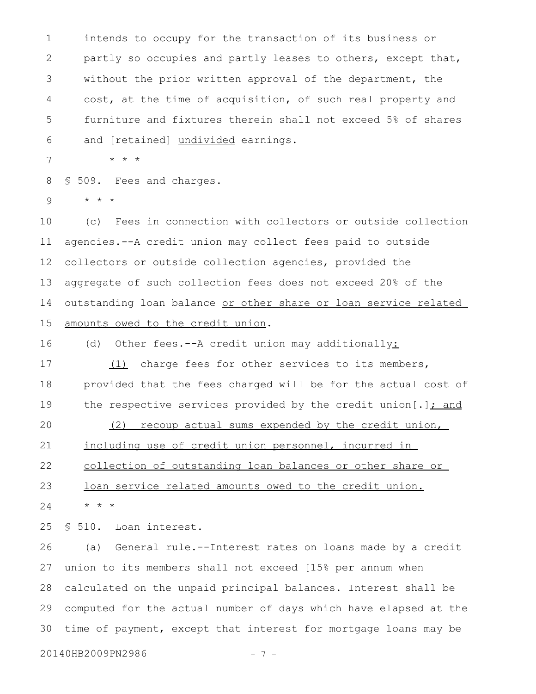intends to occupy for the transaction of its business or partly so occupies and partly leases to others, except that, without the prior written approval of the department, the cost, at the time of acquisition, of such real property and furniture and fixtures therein shall not exceed 5% of shares and [retained] undivided earnings. 1 2 3 4 5 6

\* \* \* 7

§ 509. Fees and charges. 8

\* \* \* 9

(c) Fees in connection with collectors or outside collection agencies.--A credit union may collect fees paid to outside collectors or outside collection agencies, provided the aggregate of such collection fees does not exceed 20% of the outstanding loan balance or other share or loan service related amounts owed to the credit union. 10 11 12 13 14 15

(d) Other fees.--A credit union may additionally: 16

(1) charge fees for other services to its members, provided that the fees charged will be for the actual cost of the respective services provided by the credit union[.] $\frac{\cdot}{\cdot}$  and (2) recoup actual sums expended by the credit union, including use of credit union personnel, incurred in 17 18 19 20 21

collection of outstanding loan balances or other share or 22

loan service related amounts owed to the credit union. 23

\* \* \* 24

§ 510. Loan interest. 25

(a) General rule.--Interest rates on loans made by a credit union to its members shall not exceed [15% per annum when calculated on the unpaid principal balances. Interest shall be computed for the actual number of days which have elapsed at the time of payment, except that interest for mortgage loans may be 26 27 28 29 30

20140HB2009PN2986 - 7 -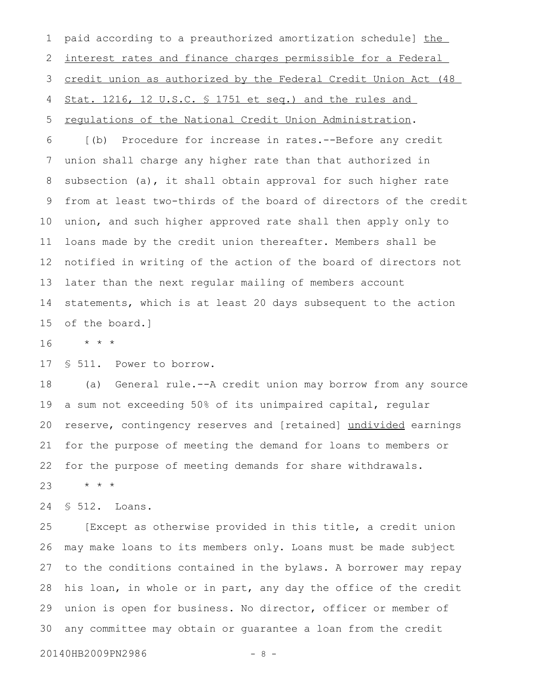paid according to a preauthorized amortization schedule] the interest rates and finance charges permissible for a Federal credit union as authorized by the Federal Credit Union Act (48 Stat. 1216, 12 U.S.C. § 1751 et seq.) and the rules and regulations of the National Credit Union Administration. [(b) Procedure for increase in rates.--Before any credit union shall charge any higher rate than that authorized in subsection (a), it shall obtain approval for such higher rate from at least two-thirds of the board of directors of the credit union, and such higher approved rate shall then apply only to loans made by the credit union thereafter. Members shall be notified in writing of the action of the board of directors not later than the next regular mailing of members account statements, which is at least 20 days subsequent to the action of the board.] 1 2 3 4 5 6 7 8 9 10 11 12 13 14 15

\* \* \* 16

§ 511. Power to borrow. 17

(a) General rule.--A credit union may borrow from any source a sum not exceeding 50% of its unimpaired capital, regular reserve, contingency reserves and [retained] undivided earnings for the purpose of meeting the demand for loans to members or for the purpose of meeting demands for share withdrawals. \* \* \* 18 19 20 21 22 23

§ 512. Loans. 24

[Except as otherwise provided in this title, a credit union may make loans to its members only. Loans must be made subject to the conditions contained in the bylaws. A borrower may repay his loan, in whole or in part, any day the office of the credit union is open for business. No director, officer or member of any committee may obtain or guarantee a loan from the credit 25 26 27 28 29 30

20140HB2009PN2986 - 8 -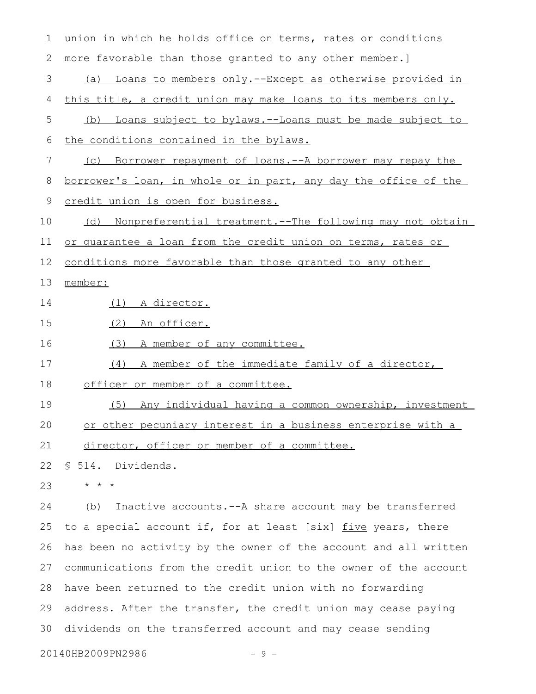| 1  | union in which he holds office on terms, rates or conditions           |
|----|------------------------------------------------------------------------|
| 2  | more favorable than those granted to any other member.]                |
| 3  | Loans to members only.--Except as otherwise provided in<br>(a)         |
| 4  | this title, a credit union may make loans to its members only.         |
| 5  | Loans subject to bylaws.--Loans must be made subject to<br>(b)         |
| 6  | the conditions contained in the bylaws.                                |
| 7  | Borrower repayment of loans.--A borrower may repay the<br>(C)          |
| 8  | <u>borrower's loan, in whole or in part, any day the office of the</u> |
| 9  | credit union is open for business.                                     |
| 10 | <u>Nonpreferential treatment.--The following may not obtain</u><br>(d) |
| 11 | or quarantee a loan from the credit union on terms, rates or           |
| 12 | conditions more favorable than those granted to any other              |
| 13 | member:                                                                |
| 14 | (1) A director.                                                        |
| 15 | (2)<br>An officer.                                                     |
| 16 | (3)<br>A member of any committee.                                      |
| 17 | A member of the immediate family of a director,<br>(4)                 |
| 18 | officer or member of a committee.                                      |
| 19 | Any individual having a common ownership, investment<br>(5)            |
| 20 | or other pecuniary interest in a business enterprise with a            |
| 21 | director, officer or member of a committee.                            |
| 22 | § 514. Dividends.                                                      |
| 23 | $\star$ $\star$ $\star$                                                |
| 24 | Inactive accounts. -- A share account may be transferred<br>(b)        |
| 25 | to a special account if, for at least [six] five years, there          |
| 26 | has been no activity by the owner of the account and all written       |
| 27 | communications from the credit union to the owner of the account       |

28 have been returned to the credit union with no forwarding 29 address. After the transfer, the credit union may cease paying 30 dividends on the transferred account and may cease sending

20140HB2009PN2986 - 9 -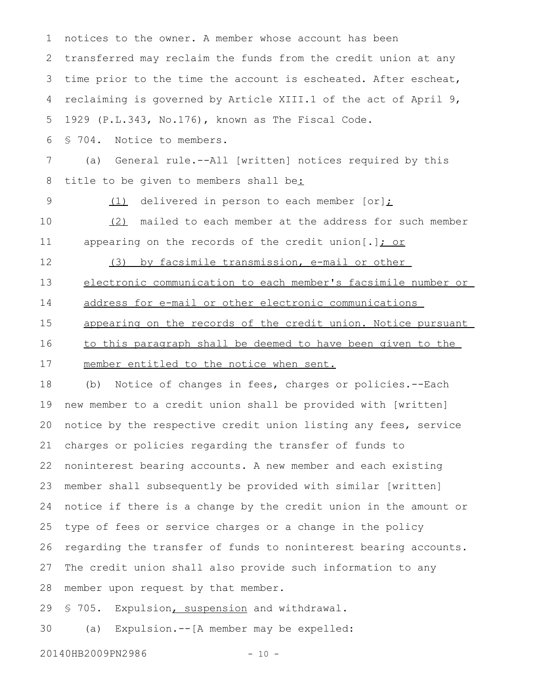notices to the owner. A member whose account has been transferred may reclaim the funds from the credit union at any time prior to the time the account is escheated. After escheat, reclaiming is governed by Article XIII.1 of the act of April 9, 1929 (P.L.343, No.176), known as The Fiscal Code. § 704. Notice to members. (a) General rule.--All [written] notices required by this title to be given to members shall be:  $(1)$  delivered in person to each member [or]; (2) mailed to each member at the address for such member appearing on the records of the credit union[.] $\frac{\cdot}{\cdot}$  or (3) by facsimile transmission, e-mail or other electronic communication to each member's facsimile number or address for e-mail or other electronic communications appearing on the records of the credit union. Notice pursuant to this paragraph shall be deemed to have been given to the member entitled to the notice when sent. (b) Notice of changes in fees, charges or policies.--Each new member to a credit union shall be provided with [written] notice by the respective credit union listing any fees, service charges or policies regarding the transfer of funds to noninterest bearing accounts. A new member and each existing member shall subsequently be provided with similar [written] notice if there is a change by the credit union in the amount or type of fees or service charges or a change in the policy regarding the transfer of funds to noninterest bearing accounts. The credit union shall also provide such information to any member upon request by that member. § 705. Expulsion, suspension and withdrawal. 1 2 3 4 5 6 7 8 9 10 11 12 13 14 15 16 17 18 19 20 21 22 23 24 25 26 27 28 29

(a) Expulsion.--[A member may be expelled: 30

20140HB2009PN2986 - 10 -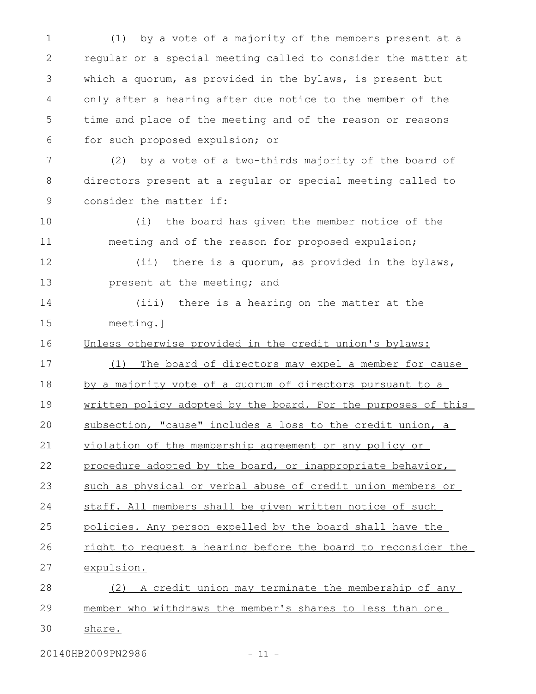(1) by a vote of a majority of the members present at a regular or a special meeting called to consider the matter at which a quorum, as provided in the bylaws, is present but only after a hearing after due notice to the member of the time and place of the meeting and of the reason or reasons for such proposed expulsion; or (2) by a vote of a two-thirds majority of the board of 1 2 3 4 5 6 7

directors present at a regular or special meeting called to consider the matter if: 8 9

(i) the board has given the member notice of the meeting and of the reason for proposed expulsion; 10 11

(ii) there is a quorum, as provided in the bylaws, present at the meeting; and 12 13

(iii) there is a hearing on the matter at the meeting.] 14 15

Unless otherwise provided in the credit union's bylaws: 16

(1) The board of directors may expel a member for cause 17

by a majority vote of a quorum of directors pursuant to a 18

written policy adopted by the board. For the purposes of this 19

subsection, "cause" includes a loss to the credit union, a 20

violation of the membership agreement or any policy or 21

procedure adopted by the board, or inappropriate behavior, 22

such as physical or verbal abuse of credit union members or 23

staff. All members shall be given written notice of such 24

policies. Any person expelled by the board shall have the 25

right to request a hearing before the board to reconsider the expulsion. 26 27

(2) A credit union may terminate the membership of any member who withdraws the member's shares to less than one 28 29

share. 30

20140HB2009PN2986 - 11 -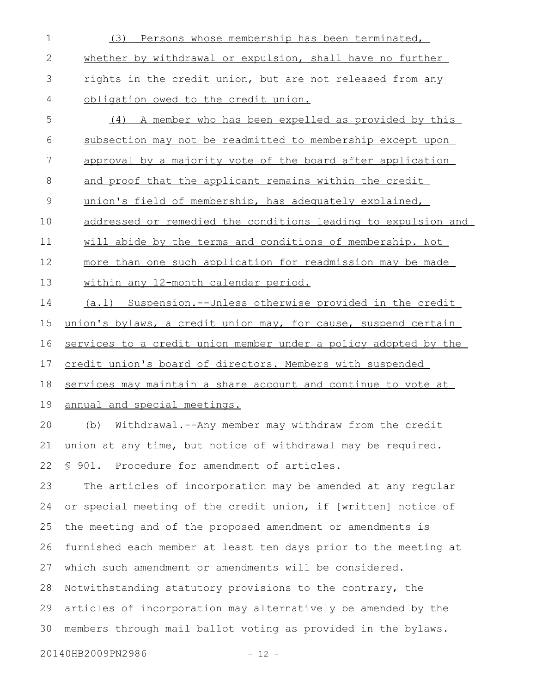- (3) Persons whose membership has been terminated, whether by withdrawal or expulsion, shall have no further rights in the credit union, but are not released from any obligation owed to the credit union. 1 2 3 4
- (4) A member who has been expelled as provided by this subsection may not be readmitted to membership except upon approval by a majority vote of the board after application and proof that the applicant remains within the credit union's field of membership, has adequately explained, addressed or remedied the conditions leading to expulsion and will abide by the terms and conditions of membership. Not more than one such application for readmission may be made within any 12-month calendar period. 5 6 7 8 9 10 11 12 13

(a.1) Suspension.--Unless otherwise provided in the credit union's bylaws, a credit union may, for cause, suspend certain services to a credit union member under a policy adopted by the credit union's board of directors. Members with suspended services may maintain a share account and continue to vote at annual and special meetings. 14 15 16 17 18 19

(b) Withdrawal.--Any member may withdraw from the credit union at any time, but notice of withdrawal may be required. § 901. Procedure for amendment of articles. 20 21 22

The articles of incorporation may be amended at any regular or special meeting of the credit union, if [written] notice of the meeting and of the proposed amendment or amendments is furnished each member at least ten days prior to the meeting at which such amendment or amendments will be considered. Notwithstanding statutory provisions to the contrary, the articles of incorporation may alternatively be amended by the members through mail ballot voting as provided in the bylaws. 23 24 25 26 27 28 29 30

20140HB2009PN2986 - 12 -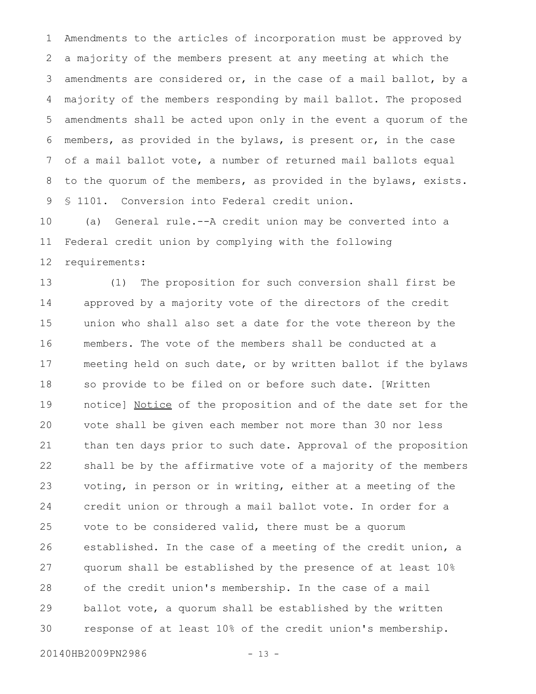Amendments to the articles of incorporation must be approved by a majority of the members present at any meeting at which the amendments are considered or, in the case of a mail ballot, by a majority of the members responding by mail ballot. The proposed amendments shall be acted upon only in the event a quorum of the members, as provided in the bylaws, is present or, in the case of a mail ballot vote, a number of returned mail ballots equal to the quorum of the members, as provided in the bylaws, exists. § 1101. Conversion into Federal credit union. 1 2 3 4 5 6 7 8 9

(a) General rule.--A credit union may be converted into a Federal credit union by complying with the following requirements: 10 11 12

(1) The proposition for such conversion shall first be approved by a majority vote of the directors of the credit union who shall also set a date for the vote thereon by the members. The vote of the members shall be conducted at a meeting held on such date, or by written ballot if the bylaws so provide to be filed on or before such date. [Written notice] Notice of the proposition and of the date set for the vote shall be given each member not more than 30 nor less than ten days prior to such date. Approval of the proposition shall be by the affirmative vote of a majority of the members voting, in person or in writing, either at a meeting of the credit union or through a mail ballot vote. In order for a vote to be considered valid, there must be a quorum established. In the case of a meeting of the credit union, a quorum shall be established by the presence of at least 10% of the credit union's membership. In the case of a mail ballot vote, a quorum shall be established by the written response of at least 10% of the credit union's membership. 13 14 15 16 17 18 19 20 21 22 23 24 25 26 27 28 29 30

20140HB2009PN2986 - 13 -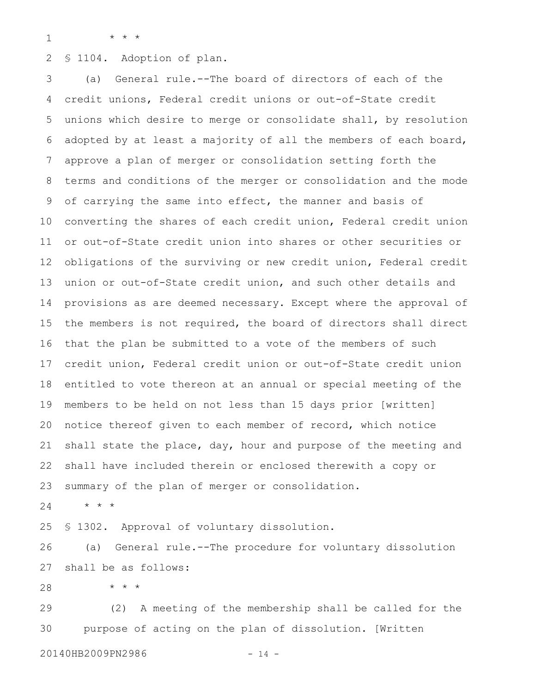1

\* \* \*

§ 1104. Adoption of plan. 2

(a) General rule.--The board of directors of each of the credit unions, Federal credit unions or out-of-State credit unions which desire to merge or consolidate shall, by resolution adopted by at least a majority of all the members of each board, approve a plan of merger or consolidation setting forth the terms and conditions of the merger or consolidation and the mode of carrying the same into effect, the manner and basis of converting the shares of each credit union, Federal credit union or out-of-State credit union into shares or other securities or obligations of the surviving or new credit union, Federal credit union or out-of-State credit union, and such other details and provisions as are deemed necessary. Except where the approval of the members is not required, the board of directors shall direct that the plan be submitted to a vote of the members of such credit union, Federal credit union or out-of-State credit union entitled to vote thereon at an annual or special meeting of the members to be held on not less than 15 days prior [written] notice thereof given to each member of record, which notice shall state the place, day, hour and purpose of the meeting and shall have included therein or enclosed therewith a copy or summary of the plan of merger or consolidation. 3 4 5 6 7 8 9 10 11 12 13 14 15 16 17 18 19 20 21 22 23

\* \* \* 24

§ 1302. Approval of voluntary dissolution. 25

(a) General rule.--The procedure for voluntary dissolution shall be as follows: 26 27

\* \* \* 28

(2) A meeting of the membership shall be called for the purpose of acting on the plan of dissolution. [Written 29 30

20140HB2009PN2986 - 14 -